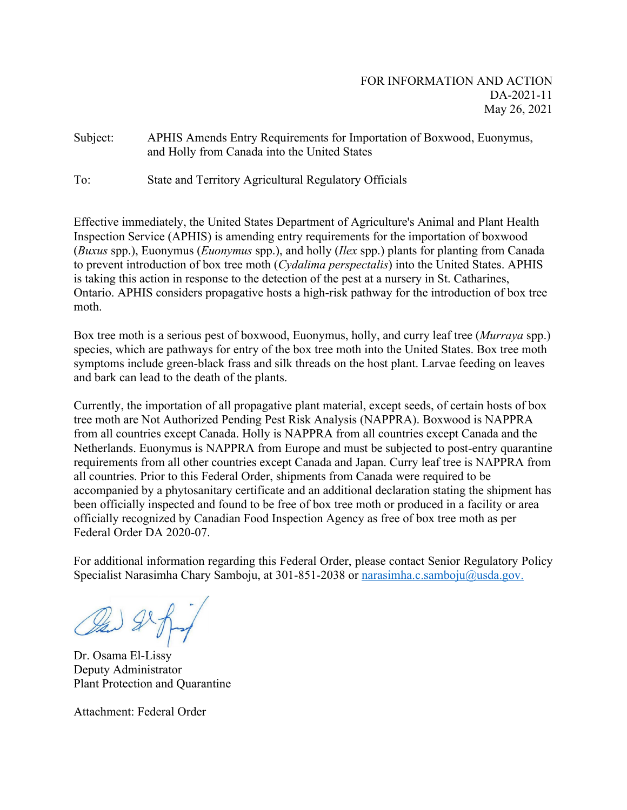Subject: APHIS Amends Entry Requirements for Importation of Boxwood, Euonymus, and Holly from Canada into the United States

To: State and Territory Agricultural Regulatory Officials

Effective immediately, the United States Department of Agriculture's Animal and Plant Health Inspection Service (APHIS) is amending entry requirements for the importation of boxwood (*Buxus* spp.), Euonymus (*Euonymus* spp.), and holly (*Ilex* spp.) plants for planting from Canada to prevent introduction of box tree moth (*Cydalima perspectalis*) into the United States. APHIS is taking this action in response to the detection of the pest at a nursery in St. Catharines, Ontario. APHIS considers propagative hosts a high-risk pathway for the introduction of box tree moth.

Box tree moth is a serious pest of boxwood, Euonymus, holly, and curry leaf tree (*Murraya* spp.) species, which are pathways for entry of the box tree moth into the United States. Box tree moth symptoms include green-black frass and silk threads on the host plant. Larvae feeding on leaves and bark can lead to the death of the plants.

Currently, the importation of all propagative plant material, except seeds, of certain hosts of box tree moth are Not Authorized Pending Pest Risk Analysis (NAPPRA). Boxwood is NAPPRA from all countries except Canada. Holly is NAPPRA from all countries except Canada and the Netherlands. Euonymus is NAPPRA from Europe and must be subjected to post-entry quarantine requirements from all other countries except Canada and Japan. Curry leaf tree is NAPPRA from all countries. Prior to this Federal Order, shipments from Canada were required to be accompanied by a phytosanitary certificate and an additional declaration stating the shipment has been officially inspected and found to be free of box tree moth or produced in a facility or area officially recognized by Canadian Food Inspection Agency as free of box tree moth as per Federal Order DA 2020-07.

For additional information regarding this Federal Order, please contact Senior Regulatory Policy Specialist Narasimha Chary Samboju, at 301-851-2038 or [narasimha.c.samboju@usda.gov.](mailto:narasimha.c.samboju@usda.gov.)

Dr. Osama El-Lissy Deputy Administrator Plant Protection and Quarantine

Attachment: Federal Order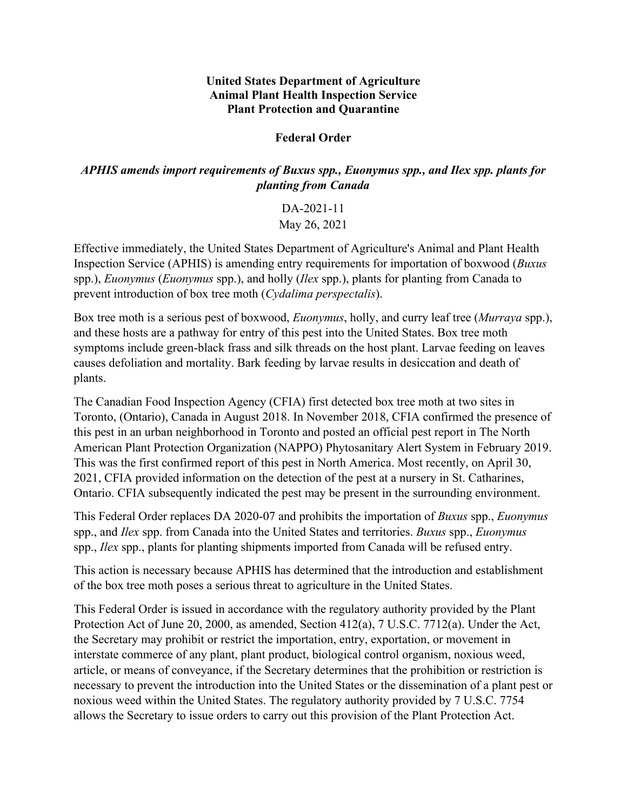## **United States Department of Agriculture Animal Plant Health Inspection Service Plant Protection and Quarantine**

## **Federal Order**

## *APHIS amends import requirements of Buxus spp., Euonymus spp., and Ilex spp. plants for planting from Canada*

DA-2021-11 May 26, 2021

Effective immediately, the United States Department of Agriculture's Animal and Plant Health Inspection Service (APHIS) is amending entry requirements for importation of boxwood (*Buxus* spp.), *Euonymus* (*Euonymus* spp.), and holly (*Ilex* spp.), plants for planting from Canada to prevent introduction of box tree moth (*Cydalima perspectalis*).

Box tree moth is a serious pest of boxwood, *Euonymus*, holly, and curry leaf tree (*Murraya* spp.), and these hosts are a pathway for entry of this pest into the United States. Box tree moth symptoms include green-black frass and silk threads on the host plant. Larvae feeding on leaves causes defoliation and mortality. Bark feeding by larvae results in desiccation and death of plants.

The Canadian Food Inspection Agency (CFIA) first detected box tree moth at two sites in Toronto, (Ontario), Canada in August 2018. In November 2018, CFIA confirmed the presence of this pest in an urban neighborhood in Toronto and posted an official pest report in The North American Plant Protection Organization (NAPPO) Phytosanitary Alert System in February 2019. This was the first confirmed report of this pest in North America. Most recently, on April 30, 2021, CFIA provided information on the detection of the pest at a nursery in St. Catharines, Ontario. CFIA subsequently indicated the pest may be present in the surrounding environment.

This Federal Order replaces DA 2020-07 and prohibits the importation of *Buxus* spp., *Euonymus*  spp., and *Ilex* spp. from Canada into the United States and territories. *Buxus* spp., *Euonymus*  spp., *Ilex* spp., plants for planting shipments imported from Canada will be refused entry.

This action is necessary because APHIS has determined that the introduction and establishment of the box tree moth poses a serious threat to agriculture in the United States.

This Federal Order is issued in accordance with the regulatory authority provided by the Plant Protection Act of June 20, 2000, as amended, Section 412(a), 7 U.S.C. 7712(a). Under the Act, the Secretary may prohibit or restrict the importation, entry, exportation, or movement in interstate commerce of any plant, plant product, biological control organism, noxious weed, article, or means of conveyance, if the Secretary determines that the prohibition or restriction is necessary to prevent the introduction into the United States or the dissemination of a plant pest or noxious weed within the United States. The regulatory authority provided by 7 U.S.C. 7754 allows the Secretary to issue orders to carry out this provision of the Plant Protection Act.